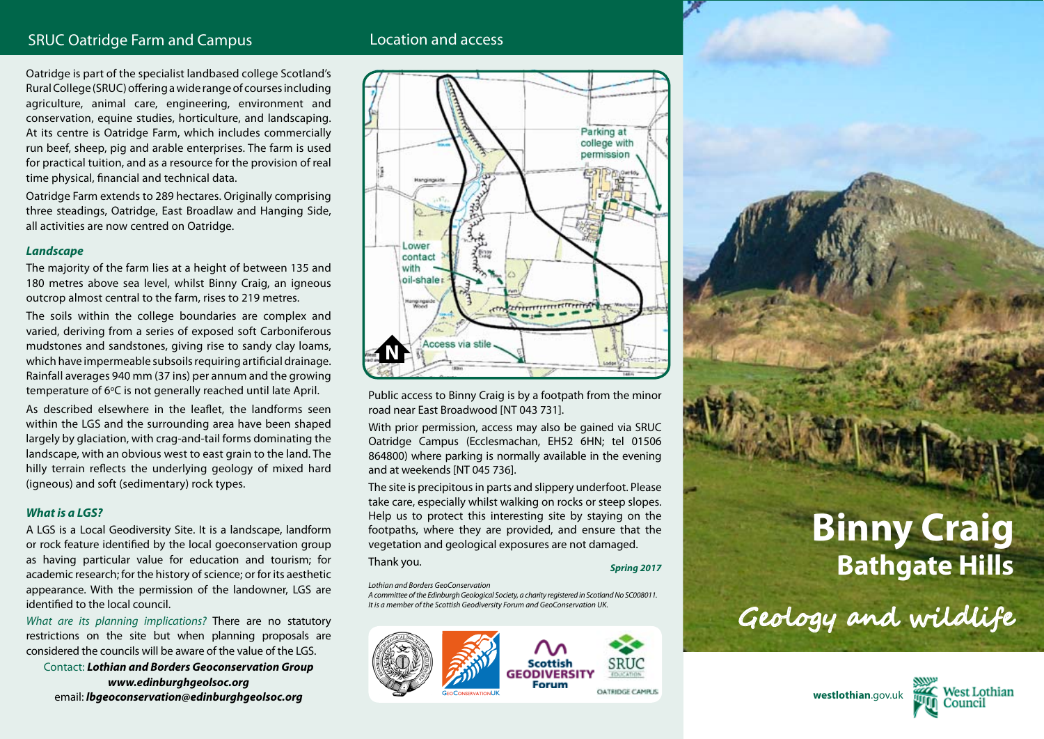# SRUC Oatridge Farm and Campus **Location and access**

Oatridge is part of the specialist landbased college Scotland's Rural College (SRUC) offering a wide range of courses including agriculture, animal care, engineering, environment and conservation, equine studies, horticulture, and landscaping. At its centre is Oatridge Farm, which includes commercially run beef, sheep, pig and arable enterprises. The farm is used for practical tuition, and as a resource for the provision of real time physical, financial and technical data.

Oatridge Farm extends to 289 hectares. Originally comprising three steadings, Oatridge, East Broadlaw and Hanging Side, all activities are now centred on Oatridge.

#### *Landscape*

The majority of the farm lies at a height of between 135 and 180 metres above sea level, whilst Binny Craig, an igneous outcrop almost central to the farm, rises to 219 metres.

The soils within the college boundaries are complex and varied, deriving from a series of exposed soft Carboniferous mudstones and sandstones, giving rise to sandy clay loams, which have impermeable subsoils requiring artificial drainage. Rainfall averages 940 mm (37 ins) per annum and the growing temperature of 6°C is not generally reached until late April.

As described elsewhere in the leaflet, the landforms seen within the LGS and the surrounding area have been shaped largely by glaciation, with crag-and-tail forms dominating the landscape, with an obvious west to east grain to the land. The hilly terrain reflects the underlying geology of mixed hard (igneous) and soft (sedimentary) rock types.

#### *What is a LGS?*

A LGS is a Local Geodiversity Site. It is a landscape, landform or rock feature identified by the local goeconservation group as having particular value for education and tourism; for academic research; for the history of science; or for its aesthetic appearance. With the permission of the landowner, LGS are identified to the local council.

*What are its planning implications?* There are no statutory restrictions on the site but when planning proposals are considered the councils will be aware of the value of the LGS.

Contact: *Lothian and Borders Geoconservation Group www.edinburghgeolsoc.org* email: *lbgeoconservation@edinburghgeolsoc.org*



Public access to Binny Craig is by a footpath from the minor road near East Broadwood [NT 043 731].

With prior permission, access may also be gained via SRUC Oatridge Campus (Ecclesmachan, EH52 6HN; tel 01506 864800) where parking is normally available in the evening and at weekends [NT 045 736].

The site is precipitous in parts and slippery underfoot. Please take care, especially whilst walking on rocks or steep slopes. Help us to protect this interesting site by staying on the footpaths, where they are provided, and ensure that the vegetation and geological exposures are not damaged.

## Thank you. *Spring 2017*

*Lothian and Borders GeoConservation*

*A committee of the Edinburgh Geological Society, a charity registered in Scotland No SC008011. It is a member of the Scottish Geodiversity Forum and GeoConservation UK.*



# **Binny Craig Bathgate Hills**

Geology and wildlife

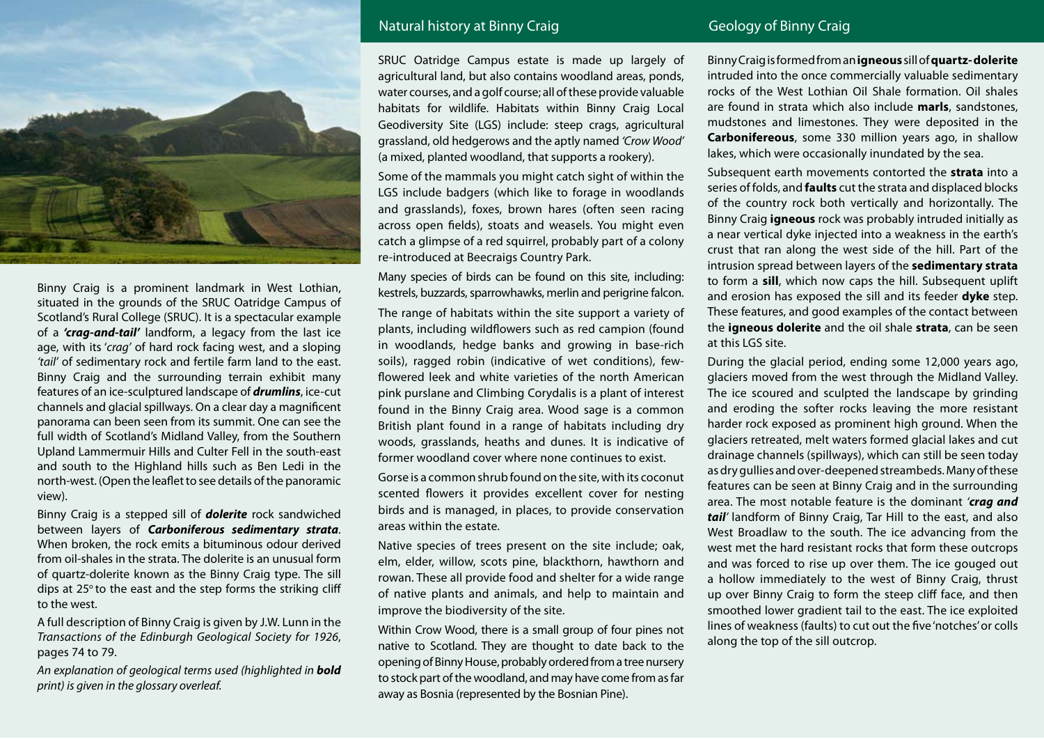

Binny Craig is a prominent landmark in West Lothian, situated in the grounds of the SRUC Oatridge Campus of Scotland's Rural College (SRUC). It is a spectacular example of a *'crag-and-tail'* landform, a legacy from the last ice age, with its '*crag'* of hard rock facing west, and a sloping *'tail'* of sedimentary rock and fertile farm land to the east. Binny Craig and the surrounding terrain exhibit many features of an ice-sculptured landscape of *drumlins*, ice-cut channels and glacial spillways. On a clear day a magnificent panorama can been seen from its summit. One can see the full width of Scotland's Midland Valley, from the Southern Upland Lammermuir Hills and Culter Fell in the south-east and south to the Highland hills such as Ben Ledi in the north-west. (Open the leaflet to see details of the panoramic view).

Binny Craig is a stepped sill of *dolerite* rock sandwiched between layers of *Carboniferous sedimentary strata*. When broken, the rock emits a bituminous odour derived from oil-shales in the strata. The dolerite is an unusual form of quartz-dolerite known as the Binny Craig type. The sill dips at  $25^\circ$  to the east and the step forms the striking cliff to the west.

A full description of Binny Craig is given by J.W. Lunn in the *Transactions of the Edinburgh Geological Society for 1926*, pages 74 to 79.

*An explanation of geological terms used (highlighted in bold print) is given in the glossary overleaf.*

# Natural history at Binny Craig Geology of Binny Craig Geology of Binny Craig

SRUC Oatridge Campus estate is made up largely of agricultural land, but also contains woodland areas, ponds, water courses, and a golf course; all of these provide valuable habitats for wildlife. Habitats within Binny Craig Local Geodiversity Site (LGS) include: steep crags, agricultural grassland, old hedgerows and the aptly named *'Crow Wood'*  (a mixed, planted woodland, that supports a rookery).

Some of the mammals you might catch sight of within the LGS include badgers (which like to forage in woodlands and grasslands), foxes, brown hares (often seen racing across open fields), stoats and weasels. You might even catch a glimpse of a red squirrel, probably part of a colony re-introduced at Beecraigs Country Park.

Many species of birds can be found on this site, including:

kestrels, buzzards, sparrowhawks, merlin and perigrine falcon. The range of habitats within the site support a variety of plants, including wildflowers such as red campion (found in woodlands, hedge banks and growing in base-rich soils), ragged robin (indicative of wet conditions), fewflowered leek and white varieties of the north American pink purslane and Climbing Corydalis is a plant of interest found in the Binny Craig area. Wood sage is a common British plant found in a range of habitats including dry woods, grasslands, heaths and dunes. It is indicative of former woodland cover where none continues to exist.

Gorse is a common shrub found on the site, with its coconut scented flowers it provides excellent cover for nesting birds and is managed, in places, to provide conservation areas within the estate.

Native species of trees present on the site include; oak, elm, elder, willow, scots pine, blackthorn, hawthorn and rowan. These all provide food and shelter for a wide range of native plants and animals, and help to maintain and improve the biodiversity of the site.

Within Crow Wood, there is a small group of four pines not native to Scotland. They are thought to date back to the opening of Binny House, probably ordered from a tree nursery to stock part of the woodland, and may have come from as far away as Bosnia (represented by the Bosnian Pine).

Binny Craig is formed from an **igneous** sill of **quartz- dolerite** intruded into the once commercially valuable sedimentary rocks of the West Lothian Oil Shale formation. Oil shales are found in strata which also include **marls**, sandstones, mudstones and limestones. They were deposited in the **Carbonifereous**, some 330 million years ago, in shallow lakes, which were occasionally inundated by the sea.

Subsequent earth movements contorted the **strata** into a series of folds, and **faults** cut the strata and displaced blocks of the country rock both vertically and horizontally. The Binny Craig **igneous** rock was probably intruded initially as a near vertical dyke injected into a weakness in the earth's crust that ran along the west side of the hill. Part of the intrusion spread between layers of the **sedimentary strata** to form a **sill**, which now caps the hill. Subsequent uplift and erosion has exposed the sill and its feeder **dyke** step. These features, and good examples of the contact between the **igneous dolerite** and the oil shale **strata**, can be seen at this LGS site.

During the glacial period, ending some 12,000 years ago, glaciers moved from the west through the Midland Valley. The ice scoured and sculpted the landscape by grinding and eroding the softer rocks leaving the more resistant harder rock exposed as prominent high ground. When the glaciers retreated, melt waters formed glacial lakes and cut drainage channels (spillways), which can still be seen today as dry gullies and over-deepened streambeds. Many of these features can be seen at Binny Craig and in the surrounding area. The most notable feature is the dominant *'crag and tail'* landform of Binny Craig, Tar Hill to the east, and also West Broadlaw to the south. The ice advancing from the west met the hard resistant rocks that form these outcrops and was forced to rise up over them. The ice gouged out a hollow immediately to the west of Binny Craig, thrust up over Binny Craig to form the steep cliff face, and then smoothed lower gradient tail to the east. The ice exploited lines of weakness (faults) to cut out the five 'notches' or colls along the top of the sill outcrop.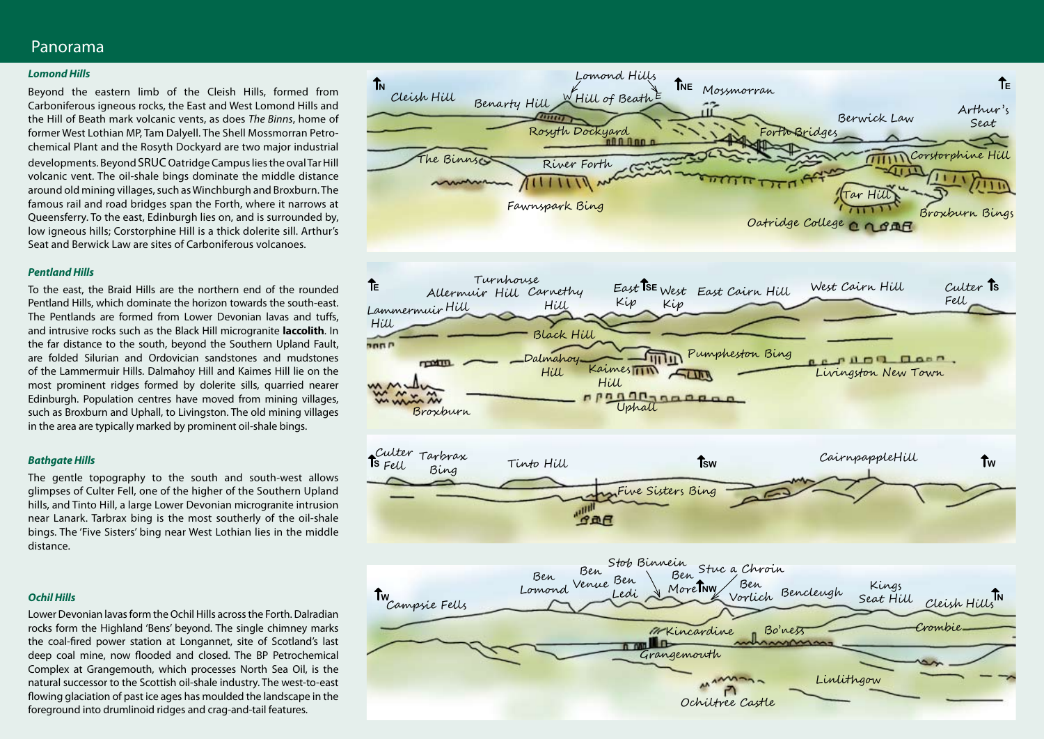# Panorama

#### *Lomond Hills*

Beyond the eastern limb of the Cleish Hills, formed from Carboniferous igneous rocks, the East and West Lomond Hills and the Hill of Beath mark volcanic vents, as does *The Binns*, home of former West Lothian MP, Tam Dalyell. The Shell Mossmorran Petrochemical Plant and the Rosyth Dockyard are two major industrial developments. Beyond SRUC Oatridge Campus lies the oval Tar Hill volcanic vent. The oil-shale bings dominate the middle distance around old mining villages, such as Winchburgh and Broxburn. The famous rail and road bridges span the Forth, where it narrows at Queensferry. To the east, Edinburgh lies on, and is surrounded by, low igneous hills; Corstorphine Hill is a thick dolerite sill. Arthur's Seat and Berwick Law are sites of Carboniferous volcanoes.

### *Pentland Hills*

To the east, the Braid Hills are the northern end of the rounded Pentland Hills, which dominate the horizon towards the south-east. The Pentlands are formed from Lower Devonian lavas and tuffs, and intrusive rocks such as the Black Hill microgranite **laccolith**. In the far distance to the south, beyond the Southern Upland Fault, are folded Silurian and Ordovician sandstones and mudstones of the Lammermuir Hills. Dalmahoy Hill and Kaimes Hill lie on the most prominent ridges formed by dolerite sills, quarried nearer Edinburgh. Population centres have moved from mining villages, such as Broxburn and Uphall, to Livingston. The old mining villages in the area are typically marked by prominent oil-shale bings.

#### *Bathgate Hills*

The gentle topography to the south and south-west allows glimpses of Culter Fell, one of the higher of the Southern Upland hills, and Tinto Hill, a large Lower Devonian microgranite intrusion near Lanark. Tarbrax bing is the most southerly of the oil-shale bings. The 'Five Sisters' bing near West Lothian lies in the middle distance.

#### *Ochil Hills*

Lower Devonian lavas form the Ochil Hills across the Forth. Dalradian rocks form the Highland 'Bens' beyond. The single chimney marks the coal-fired power station at Longannet, site of Scotland's last deep coal mine, now flooded and closed. The BP Petrochemical Complex at Grangemouth, which processes North Sea Oil, is the natural successor to the Scottish oil-shale industry. The west-to-east flowing glaciation of past ice ages has moulded the landscape in the foreground into drumlinoid ridges and crag-and-tail features.